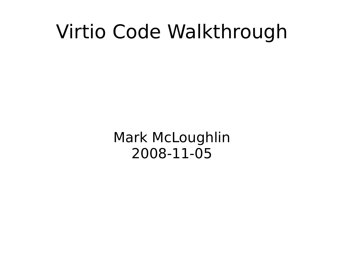#### Virtio Code Walkthrough

Mark McLoughlin 2008-11-05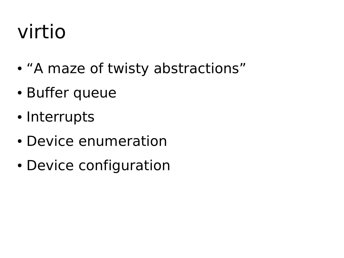### virtio

- "A maze of twisty abstractions"
- Buffer queue
- Interrupts
- Device enumeration
- Device configuration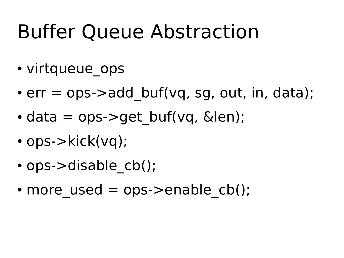### Buffer Queue Abstraction

- virtqueue ops
- $\bullet$  err = ops- $>$ add buf(vq, sg, out, in, data);
- $\cdot$  data = ops- $>$ get buf(vq, &len);
- $\cdot$  ops- $>\text{kick}(vq)$ ;
- ops->disable cb();
- more used  $=$  ops- $>$ enable cb();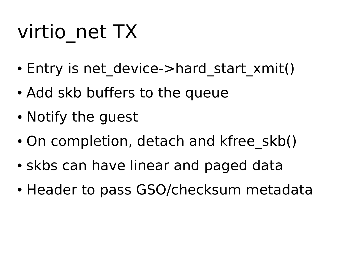## virtio\_net TX

- Entry is net device->hard start xmit()
- Add skb buffers to the queue
- Notify the guest
- On completion, detach and kfree skb()
- skbs can have linear and paged data
- Header to pass GSO/checksum metadata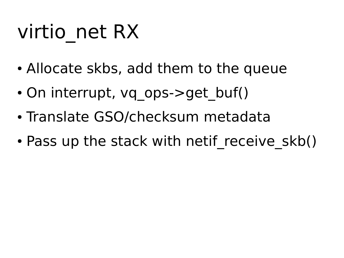## virtio\_net RX

- Allocate skbs, add them to the queue
- On interrupt, vq ops- $>$ get buf()
- Translate GSO/checksum metadata
- Pass up the stack with netif receive skb()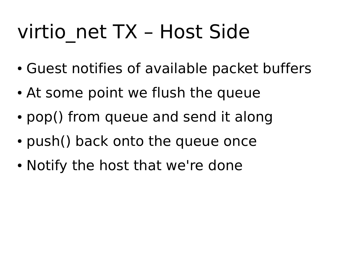## virtio net TX – Host Side

- Guest notifies of available packet buffers
- At some point we flush the queue
- pop() from queue and send it along
- push() back onto the queue once
- Notify the host that we're done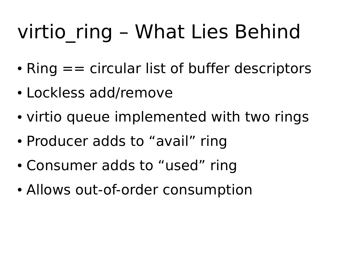## virtio ring – What Lies Behind

- Ring  $==$  circular list of buffer descriptors
- Lockless add/remove
- virtio queue implemented with two rings
- Producer adds to "avail" ring
- Consumer adds to "used" ring
- Allows out-of-order consumption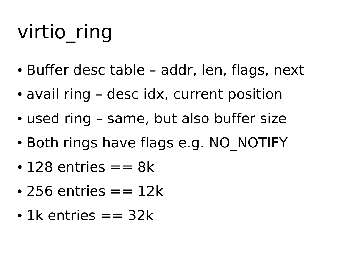# virtio\_ring

- Buffer desc table addr, len, flags, next
- avail ring desc idx, current position
- used ring same, but also buffer size
- Both rings have flags e.g. NO\_NOTIFY
- $\cdot$  128 entries  $== 8k$
- $\cdot$  256 entries  $== 12k$
- $\cdot$  1k entries  $== 32k$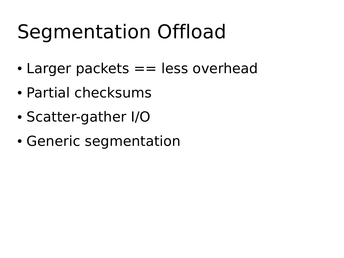### Segmentation Offload

- $\cdot$  Larger packets  $==$  less overhead
- Partial checksums
- Scatter-gather I/O
- Generic segmentation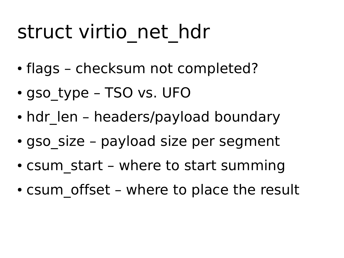### struct virtio net hdr

- flags checksum not completed?
- gso type TSO vs. UFO
- hdr len headers/payload boundary
- gso size payload size per segment
- $\cdot$  csum start where to start summing
- csum offset where to place the result